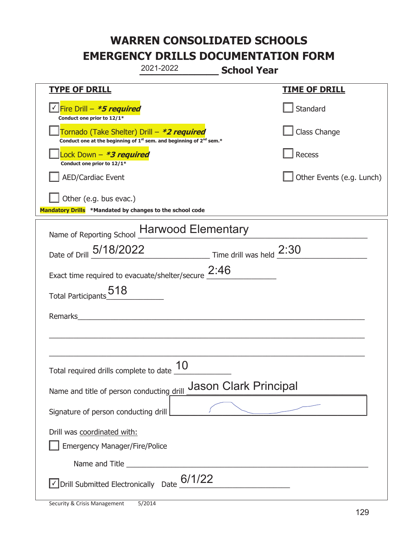|                                                                                    | 2021-2022                                                               | <b>School Year</b>                                          |                           |
|------------------------------------------------------------------------------------|-------------------------------------------------------------------------|-------------------------------------------------------------|---------------------------|
| <u>TYPE OF DRILL</u>                                                               |                                                                         |                                                             | <b>TIME OF DRILL</b>      |
| <u>√ Fire Drill – <i>*5 required</i></u><br>Conduct one prior to 12/1*             |                                                                         |                                                             | Standard                  |
| Tornado (Take Shelter) Drill – *2 required                                         | Conduct one at the beginning of $1st$ sem. and beginning of $2nd$ sem.* |                                                             | Class Change              |
| Lock Down - <b>*3 required</b><br>Conduct one prior to 12/1*                       |                                                                         |                                                             | Recess                    |
| <b>AED/Cardiac Event</b>                                                           |                                                                         |                                                             | Other Events (e.g. Lunch) |
| Other (e.g. bus evac.)<br>Mandatory Drills *Mandated by changes to the school code |                                                                         |                                                             |                           |
| Name of Reporting School Harwood Elementary                                        |                                                                         |                                                             |                           |
| Date of Drill 5/18/2022                                                            |                                                                         | $\frac{2:30}{2:30}$ Time drill was held $\frac{2:30}{2:30}$ |                           |
| Exact time required to evacuate/shelter/secure $2:46$                              |                                                                         |                                                             |                           |
| Total Participants_518                                                             |                                                                         |                                                             |                           |
| Remarks                                                                            |                                                                         |                                                             |                           |
|                                                                                    |                                                                         |                                                             |                           |
| Total required drills complete to date $\frac{10}{10}$                             |                                                                         |                                                             |                           |
| Name and title of person conducting drill                                          |                                                                         | <b>Jason Clark Principal</b>                                |                           |
| Signature of person conducting drill                                               |                                                                         |                                                             |                           |
| Drill was coordinated with:<br><b>Emergency Manager/Fire/Police</b>                |                                                                         |                                                             |                           |
|                                                                                    |                                                                         |                                                             |                           |
| $\Box$ Drill Submitted Electronically Date $6/1/22$                                |                                                                         |                                                             |                           |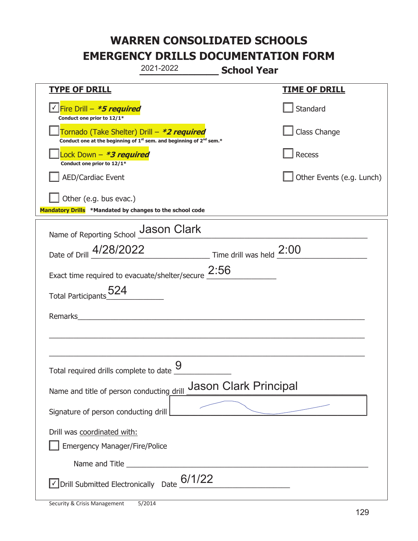|                                                                                    | 2021-2022                                                                                   | <b>School Year</b>           |                           |
|------------------------------------------------------------------------------------|---------------------------------------------------------------------------------------------|------------------------------|---------------------------|
| <b>TYPE OF DRILL</b>                                                               |                                                                                             |                              | <b>TIME OF DRILL</b>      |
| <u>√ Fire Drill – *5 required</u><br>Conduct one prior to 12/1*                    |                                                                                             |                              | Standard                  |
| Tornado (Take Shelter) Drill – *2 required                                         | Conduct one at the beginning of 1 <sup>st</sup> sem. and beginning of 2 <sup>nd</sup> sem.* |                              | Class Change              |
| Lock Down – <b>*<i>3 required</i></b><br>Conduct one prior to 12/1*                |                                                                                             |                              | Recess                    |
| <b>AED/Cardiac Event</b>                                                           |                                                                                             |                              | Other Events (e.g. Lunch) |
| Other (e.g. bus evac.)<br>Mandatory Drills *Mandated by changes to the school code |                                                                                             |                              |                           |
| Name of Reporting School Jason Clark                                               |                                                                                             |                              |                           |
| Date of Drill 4/28/2022                                                            |                                                                                             |                              |                           |
| Exact time required to evacuate/shelter/secure $2:56$                              |                                                                                             |                              |                           |
| 524<br><b>Total Participants</b>                                                   |                                                                                             |                              |                           |
| Remarks                                                                            |                                                                                             |                              |                           |
|                                                                                    |                                                                                             |                              |                           |
| Total required drills complete to date $\frac{9}{2}$                               | Q                                                                                           |                              |                           |
| Name and title of person conducting drill                                          |                                                                                             | <b>Jason Clark Principal</b> |                           |
| Signature of person conducting drill                                               |                                                                                             |                              |                           |
| Drill was coordinated with:<br><b>Emergency Manager/Fire/Police</b>                |                                                                                             |                              |                           |
|                                                                                    |                                                                                             |                              |                           |
| √ Drill Submitted Electronically Date                                              | 6/1/22                                                                                      |                              |                           |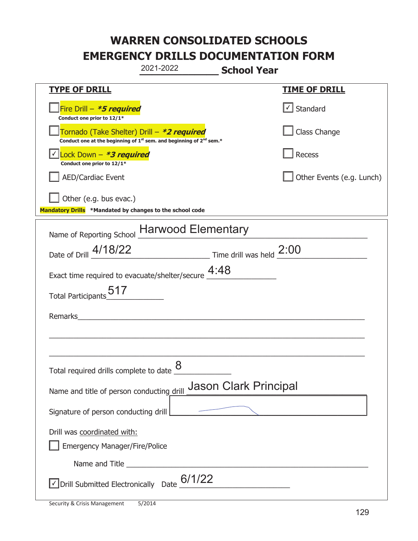|                                                                                    | 2021-2022                                                                                                                                 | <b>School Year</b>           |                           |
|------------------------------------------------------------------------------------|-------------------------------------------------------------------------------------------------------------------------------------------|------------------------------|---------------------------|
| <b>TYPE OF DRILL</b>                                                               |                                                                                                                                           |                              | <b>TIME OF DRILL</b>      |
| Fire Drill - *5 required<br>Conduct one prior to 12/1*                             |                                                                                                                                           |                              | $\cup$ Standard           |
|                                                                                    | Tornado (Take Shelter) Drill – *2 required<br>Conduct one at the beginning of 1 <sup>st</sup> sem. and beginning of 2 <sup>nd</sup> sem.* |                              | Class Change              |
| Lock Down - *3 required<br>Conduct one prior to 12/1*                              |                                                                                                                                           |                              | <b>Recess</b>             |
| AED/Cardiac Event                                                                  |                                                                                                                                           |                              | Other Events (e.g. Lunch) |
| Other (e.g. bus evac.)<br>Mandatory Drills *Mandated by changes to the school code |                                                                                                                                           |                              |                           |
| Name of Reporting School Harwood Elementary                                        |                                                                                                                                           |                              |                           |
| Date of Drill 4/18/22 Time drill was held 2:00                                     |                                                                                                                                           |                              |                           |
| Exact time required to evacuate/shelter/secure $4:48$                              |                                                                                                                                           |                              |                           |
| Total Participants_017                                                             |                                                                                                                                           |                              |                           |
| Remarks                                                                            |                                                                                                                                           |                              |                           |
|                                                                                    |                                                                                                                                           |                              |                           |
| Total required drills complete to date $\frac{8}{4}$                               |                                                                                                                                           |                              |                           |
| Name and title of person conducting drill                                          |                                                                                                                                           | <b>Jason Clark Principal</b> |                           |
| Signature of person conducting drill                                               |                                                                                                                                           |                              |                           |
| Drill was coordinated with:<br><b>Emergency Manager/Fire/Police</b>                |                                                                                                                                           |                              |                           |
|                                                                                    |                                                                                                                                           |                              |                           |
| √ Drill Submitted Electronically Date                                              | 6/1/22                                                                                                                                    |                              |                           |

I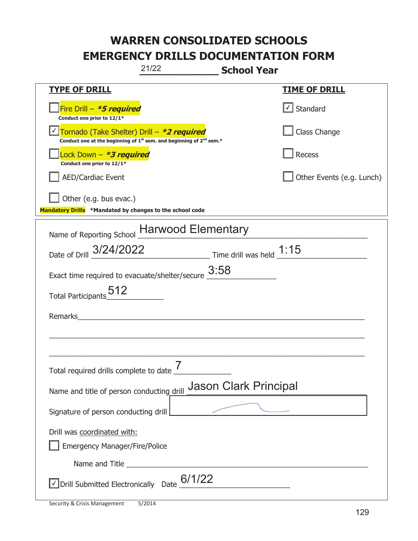| 21/22<br><b>School Year</b>                                                                                                               |                           |  |  |  |
|-------------------------------------------------------------------------------------------------------------------------------------------|---------------------------|--|--|--|
| <b>TYPE OF DRILL</b>                                                                                                                      | <u>TIME OF DRILL</u>      |  |  |  |
| Fire Drill - *5 required<br>Conduct one prior to 12/1*                                                                                    | $\vert$ Standard          |  |  |  |
| Tornado (Take Shelter) Drill – *2 required<br>Conduct one at the beginning of 1 <sup>st</sup> sem. and beginning of 2 <sup>nd</sup> sem.* | Class Change              |  |  |  |
| ock Down - <b>*3 required</b><br>Conduct one prior to 12/1*                                                                               | Recess                    |  |  |  |
| <b>AED/Cardiac Event</b>                                                                                                                  | Other Events (e.g. Lunch) |  |  |  |
| Other (e.g. bus evac.)<br>Mandatory Drills *Mandated by changes to the school code                                                        |                           |  |  |  |
| Name of Reporting School Harwood Elementary                                                                                               |                           |  |  |  |
| Date of Drill 3/24/2022 Time drill was held 1:15                                                                                          |                           |  |  |  |
| Exact time required to evacuate/shelter/secure $\underline{\hspace{1em}3:}58$                                                             |                           |  |  |  |
| Total Participants 512                                                                                                                    |                           |  |  |  |
| Remarks                                                                                                                                   |                           |  |  |  |
|                                                                                                                                           |                           |  |  |  |
| Total required drills complete to date $\frac{7}{ }$                                                                                      |                           |  |  |  |
| <b>Jason Clark Principal</b><br>Name and title of person conducting drill                                                                 |                           |  |  |  |
| Signature of person conducting drill                                                                                                      |                           |  |  |  |
| Drill was coordinated with:<br><b>Emergency Manager/Fire/Police</b>                                                                       |                           |  |  |  |
|                                                                                                                                           |                           |  |  |  |
| $\sqrt{\frac{1}{2}}$ Drill Submitted Electronically Date $\frac{6}{122}$                                                                  |                           |  |  |  |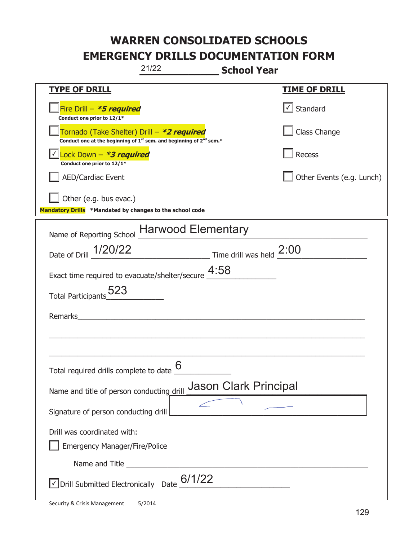|                                                                                    | 21/22                                                                           | <b>School Year</b>           |
|------------------------------------------------------------------------------------|---------------------------------------------------------------------------------|------------------------------|
| <u>TYPE OF DRILL</u>                                                               |                                                                                 | <u>TIME OF DRILL</u>         |
| Fire Drill - *5 required<br>Conduct one prior to 12/1*                             |                                                                                 | √ Standard                   |
| Tornado (Take Shelter) Drill – *2 required                                         | Conduct one at the beginning of $1st$ sem. and beginning of $2nd$ sem.*         | Class Change                 |
| Lock Down - <b>*3 required</b><br>Conduct one prior to 12/1*                       |                                                                                 | Recess                       |
| AED/Cardiac Event                                                                  |                                                                                 | Other Events (e.g. Lunch)    |
| Other (e.g. bus evac.)<br>Mandatory Drills *Mandated by changes to the school code |                                                                                 |                              |
|                                                                                    | Name of Reporting School Harwood Elementary                                     |                              |
| Date of Drill 1/20/22                                                              | $\frac{2:00}{\frac{1}{2}:00}$ Time drill was held $\frac{2:00}{\frac{1}{2}:00}$ |                              |
|                                                                                    | Exact time required to evacuate/shelter/secure $\underline{4:58}$               |                              |
| Total Participants 523                                                             |                                                                                 |                              |
| Remarks                                                                            |                                                                                 |                              |
|                                                                                    |                                                                                 |                              |
| Total required drills complete to date $6$                                         |                                                                                 |                              |
| Name and title of person conducting drill                                          |                                                                                 | <b>Jason Clark Principal</b> |
| Signature of person conducting drill                                               |                                                                                 |                              |
| Drill was coordinated with:<br><b>Emergency Manager/Fire/Police</b>                |                                                                                 |                              |
|                                                                                    |                                                                                 |                              |
| √ Drill Submitted Electronically Date                                              | 6/1/22                                                                          |                              |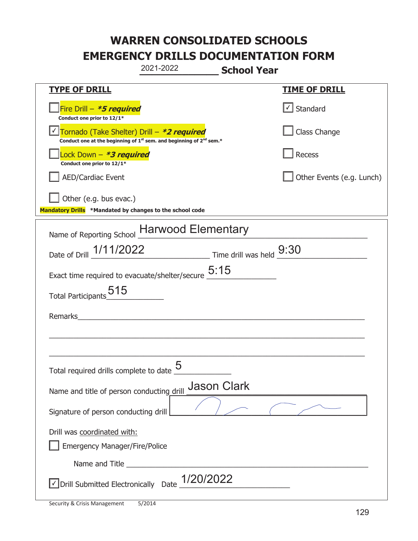|                                                                                    | 2021-2022                                                               | <b>School Year</b> |                           |
|------------------------------------------------------------------------------------|-------------------------------------------------------------------------|--------------------|---------------------------|
| <u>TYPE OF DRILL</u>                                                               |                                                                         |                    | <b>TIME OF DRILL</b>      |
| Fire Drill - *5 required<br>Conduct one prior to 12/1*                             |                                                                         |                    | $\cup$ Standard           |
| Tornado (Take Shelter) Drill – *2 required                                         | Conduct one at the beginning of $1st$ sem. and beginning of $2nd$ sem.* |                    | Class Change              |
| Lock Down - *3 required<br>Conduct one prior to 12/1*                              |                                                                         |                    | Recess                    |
| AED/Cardiac Event                                                                  |                                                                         |                    | Other Events (e.g. Lunch) |
| Other (e.g. bus evac.)<br>Mandatory Drills *Mandated by changes to the school code |                                                                         |                    |                           |
| Name of Reporting School Harwood Elementary                                        |                                                                         |                    |                           |
| Date of Drill 1/11/2022 Time drill was held 9:30                                   |                                                                         |                    |                           |
| Exact time required to evacuate/shelter/secure $\underline{5:15}$                  |                                                                         |                    |                           |
| Total Participants 515                                                             |                                                                         |                    |                           |
| Remarks                                                                            |                                                                         |                    |                           |
|                                                                                    |                                                                         |                    |                           |
| Total required drills complete to date $\frac{0}{2}$                               | 5                                                                       |                    |                           |
| Name and title of person conducting drill                                          |                                                                         | <b>Jason Clark</b> |                           |
| Signature of person conducting drill                                               |                                                                         |                    |                           |
| Drill was coordinated with:<br><b>Emergency Manager/Fire/Police</b>                |                                                                         |                    |                           |
|                                                                                    |                                                                         |                    |                           |
| √ Drill Submitted Electronically Date                                              | 1/20/2022                                                               |                    |                           |

t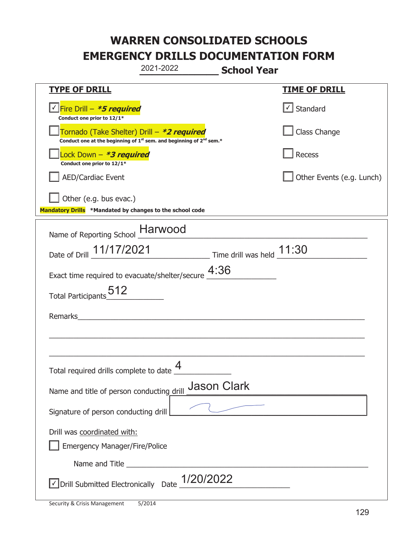|                                                                                    | 2021-2022                                                                                   | <b>School Year</b> |                           |
|------------------------------------------------------------------------------------|---------------------------------------------------------------------------------------------|--------------------|---------------------------|
| <u>TYPE OF DRILL</u>                                                               |                                                                                             |                    | <b>TIME OF DRILL</b>      |
| <u>√ Fire Drill – <i>*5 required</i></u><br>Conduct one prior to 12/1*             |                                                                                             |                    | √ Standard                |
| Tornado (Take Shelter) Drill – *2 required                                         | Conduct one at the beginning of 1 <sup>st</sup> sem. and beginning of 2 <sup>nd</sup> sem.* |                    | Class Change              |
| Lock Down - <b>*3 required</b><br>Conduct one prior to 12/1*                       |                                                                                             |                    | Recess                    |
| AED/Cardiac Event                                                                  |                                                                                             |                    | Other Events (e.g. Lunch) |
| Other (e.g. bus evac.)<br>Mandatory Drills *Mandated by changes to the school code |                                                                                             |                    |                           |
| Name of Reporting School Harwood                                                   |                                                                                             |                    |                           |
| Date of Drill 11/17/2021 Time drill was held 11:30                                 |                                                                                             |                    |                           |
| Exact time required to evacuate/shelter/secure $\underline{4:36}$                  |                                                                                             |                    |                           |
| Total Participants 512                                                             |                                                                                             |                    |                           |
| Remarks                                                                            |                                                                                             |                    |                           |
|                                                                                    |                                                                                             |                    |                           |
| Total required drills complete to date _                                           | Δ                                                                                           |                    |                           |
| Name and title of person conducting drill                                          |                                                                                             | <b>Jason Clark</b> |                           |
| Signature of person conducting drill                                               |                                                                                             |                    |                           |
| Drill was coordinated with:<br><b>Emergency Manager/Fire/Police</b>                |                                                                                             |                    |                           |
|                                                                                    |                                                                                             |                    |                           |
| √ Drill Submitted Electronically Date                                              | 1/20/2022                                                                                   |                    |                           |

t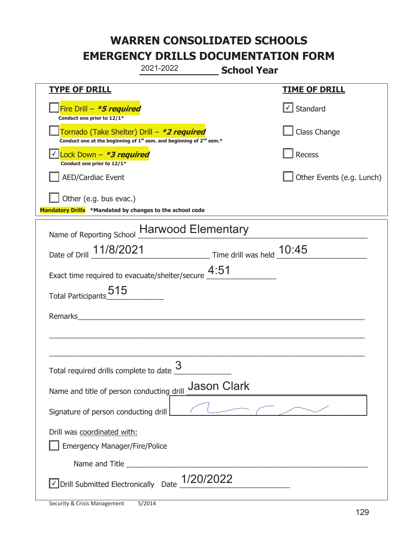|                                                                                                                       | 2021-2022 | <b>School Year</b> |                           |
|-----------------------------------------------------------------------------------------------------------------------|-----------|--------------------|---------------------------|
| <u>TYPE OF DRILL</u>                                                                                                  |           |                    | <b>TIME OF DRILL</b>      |
| Fire Drill - *5 required<br>Conduct one prior to 12/1*                                                                |           |                    | $\cup$ Standard           |
| Tornado (Take Shelter) Drill – *2 required<br>Conduct one at the beginning of $1st$ sem. and beginning of $2nd$ sem.* |           |                    | Class Change              |
| Lock Down - <b>*3 required</b><br>Conduct one prior to 12/1*                                                          |           |                    | Recess                    |
| AED/Cardiac Event                                                                                                     |           |                    | Other Events (e.g. Lunch) |
| Other (e.g. bus evac.)<br>Mandatory Drills *Mandated by changes to the school code                                    |           |                    |                           |
| Name of Reporting School Harwood Elementary                                                                           |           |                    |                           |
| Date of Drill 11/8/2021 Time drill was held 10:45                                                                     |           |                    |                           |
| Exact time required to evacuate/shelter/secure $4:51$                                                                 |           |                    |                           |
| Total Participants 515                                                                                                |           |                    |                           |
| Remarks                                                                                                               |           |                    |                           |
|                                                                                                                       |           |                    |                           |
|                                                                                                                       |           |                    |                           |
| Total required drills complete to date                                                                                | 3         |                    |                           |
| Name and title of person conducting drill                                                                             |           | <b>Jason Clark</b> |                           |
| Signature of person conducting drill                                                                                  |           |                    |                           |
| Drill was coordinated with:<br><b>Emergency Manager/Fire/Police</b>                                                   |           |                    |                           |
|                                                                                                                       |           |                    |                           |
| √ Drill Submitted Electronically Date                                                                                 | 1/20/2022 |                    |                           |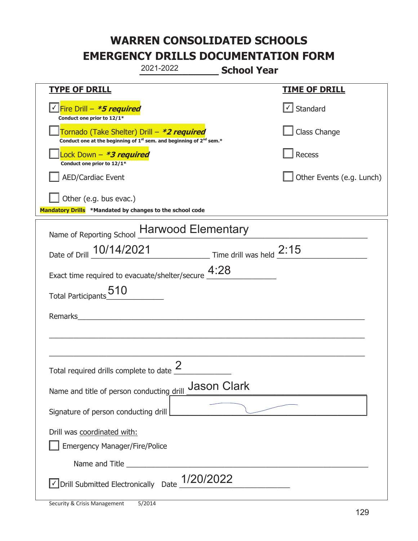|                                                                                            | 2021-2022                                                                                   | <b>School Year</b> |                           |
|--------------------------------------------------------------------------------------------|---------------------------------------------------------------------------------------------|--------------------|---------------------------|
| <b>TYPE OF DRILL</b>                                                                       |                                                                                             |                    | <u>TIME OF DRILL</u>      |
| <u>√ <mark>Fire Drill – <i>*<b>5 required</b></i></mark></u><br>Conduct one prior to 12/1* |                                                                                             |                    | $\lfloor$ Standard        |
| Tornado (Take Shelter) Drill – *2 required                                                 | Conduct one at the beginning of 1 <sup>st</sup> sem. and beginning of 2 <sup>nd</sup> sem.* |                    | Class Change              |
| Lock Down – <b>*<i>3 required</i></b><br>Conduct one prior to 12/1*                        |                                                                                             |                    | Recess                    |
| AED/Cardiac Event                                                                          |                                                                                             |                    | Other Events (e.g. Lunch) |
| Other (e.g. bus evac.)<br>Mandatory Drills *Mandated by changes to the school code         |                                                                                             |                    |                           |
|                                                                                            | Name of Reporting School Harwood Elementary                                                 |                    |                           |
|                                                                                            | Date of Drill 10/14/2021 Time drill was held 2:15                                           |                    |                           |
|                                                                                            | Exact time required to evacuate/shelter/secure $4:28$                                       |                    |                           |
| Total Participants 510                                                                     |                                                                                             |                    |                           |
| Remarks                                                                                    |                                                                                             |                    |                           |
|                                                                                            |                                                                                             |                    |                           |
| Total required drills complete to date $\frac{2}{3}$                                       |                                                                                             |                    |                           |
| Name and title of person conducting drill                                                  | <b>Jason Clark</b>                                                                          |                    |                           |
| Signature of person conducting drill                                                       |                                                                                             |                    |                           |
| Drill was coordinated with:<br><b>Emergency Manager/Fire/Police</b>                        |                                                                                             |                    |                           |
|                                                                                            |                                                                                             |                    |                           |
|                                                                                            | $\sqrt{\frac{1}{20}}$ Drill Submitted Electronically Date $\frac{1}{20}/2022$               |                    |                           |